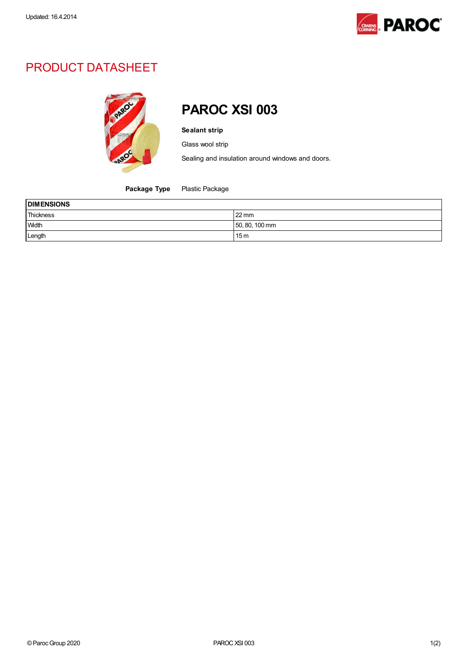

## PRODUCT DATASHEET



## PAROC XSI 003

Sealant strip

Glass wool strip

Sealing and insulation around windows and doors.

Package Type Plastic Package

| <b>DIMENSIONS</b> |                 |  |
|-------------------|-----------------|--|
| Thickness         | $22 \text{ mm}$ |  |
| <b>Width</b>      | 50, 80, 100 mm  |  |
| Length            | 15 <sub>m</sub> |  |